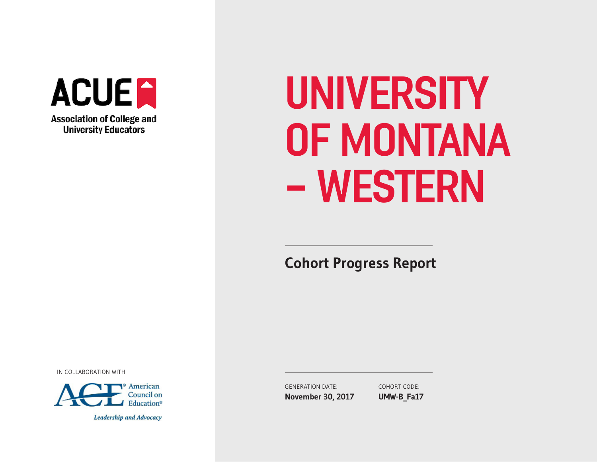

# UNIVERSITY OF MONTANA - WESTERN

**Cohort Progress Report** 

IN COLLABORATION WITH



Leadership and Advocacy

GENERATION DATE: **November 30, 2017** COHORT CODE: **UMW-B\_Fa17**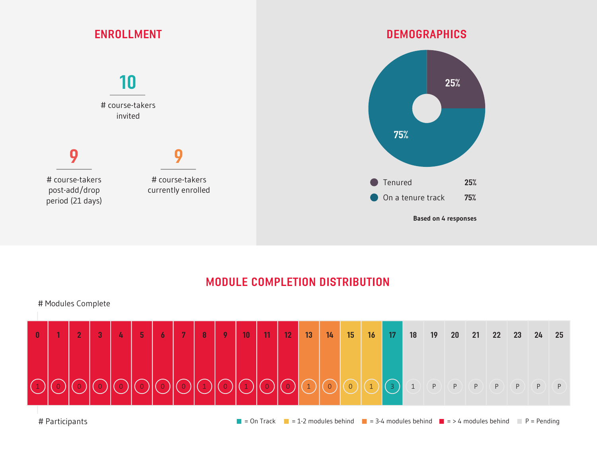

# MODULE COMPLETION DISTRIBUTION



# Participants  $= 0$ n Track  $= 1-2$  modules behind  $= 3-4$  modules behind  $= 3$  + modules behind P = Pending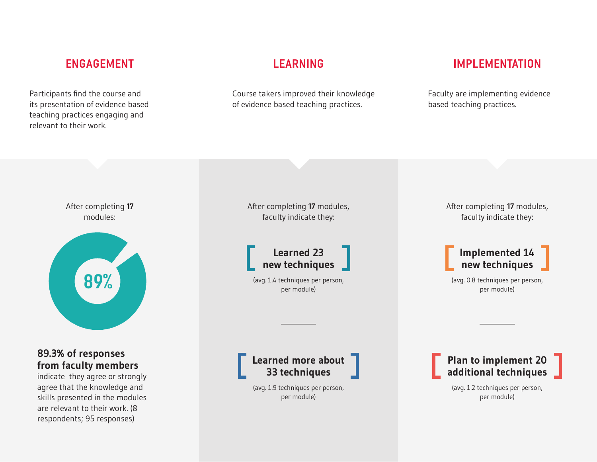Participants fnd the course and its presentation of evidence based teaching practices engaging and relevant to their work.

Course takers improved their knowledge of evidence based teaching practices.

# ENGAGEMENT LEARNING IMPLEMENTATION

Faculty are implementing evidence based teaching practices.